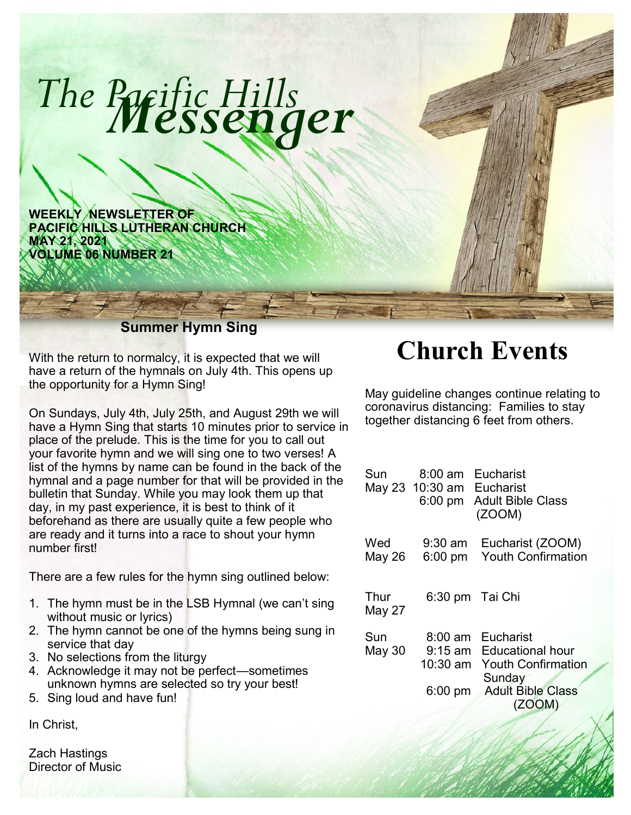

With the return to normalcy, it is expected that we will have a return of the hymnals on July 4th. This opens up the opportunity for a Hymn Sing!

On Sundays, July 4th, July 25th, and August 29th we will have a Hymn Sing that starts 10 minutes prior to service in place of the prelude. This is the time for you to call out your favorite hymn and we will sing one to two verses! A list of the hymns by name can be found in the back of the hymnal and a page number for that will be provided in the bulletin that Sunday. While you may look them up that day, in my past experience, it is best to think of it beforehand as there are usually quite a few people who are ready and it turns into a race to shout your hymn number first!

There are a few rules for the hymn sing outlined below:

- 1. The hymn must be in the LSB Hymnal (we can't sing without music or lyrics)
- 2. The hymn cannot be one of the hymns being sung in service that day
- 3. No selections from the liturgy
- 4. Acknowledge it may not be perfect—sometimes unknown hymns are selected so try your best!
- 5. Sing loud and have fun!

In Christ,

Zach Hastings Director of Music

## **Church Events**

May guideline changes continue relating to coronavirus distancing: Families to stay together distancing 6 feet from others.

| Sun            | 8:00 am<br>May 23 10:30 am Eucharist                    | Eucharist<br>6:00 pm Adult Bible Class<br>(ZOOM)                                                           |
|----------------|---------------------------------------------------------|------------------------------------------------------------------------------------------------------------|
| Wed<br>May 26  | $9:30$ am<br>$6:00 \text{ pm}$                          | Eucharist (ZOOM)<br><b>Youth Confirmation</b>                                                              |
| Thur<br>May 27 | 6:30 pm Tai Chi                                         |                                                                                                            |
| Sun<br>May 30  | $8:00 \text{ am}$<br>$9:15$ am<br>10:30 am<br>$6:00$ pm | Eucharist<br>Educational hour<br><b>Youth Confirmation</b><br>Sunday<br><b>Adult Bible Class</b><br>(ZOOM) |